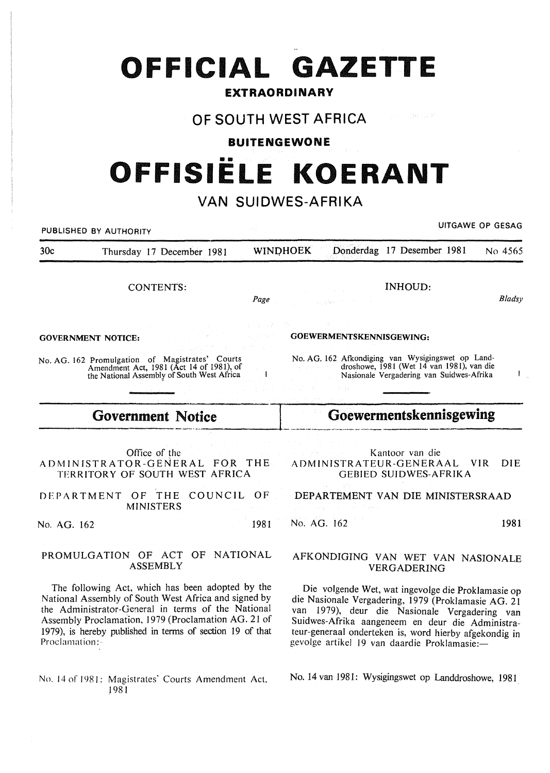# **OFFICIAL GAZETTE**

## **EXTRAORDINARY**

# **OF SOUTH WEST AFRICA**

## **BUITENGEWONE**

# •• **OFFISIELE KOERANT**

# **VAN SUIDWES-AFRIKA**

PUBLISHED BY AUTHORITY **EXECUTE A SECURE 2018 THE SECURE 2019 OF SESSAGREMENT WAS SERVED FOR SESAGREMENT WAS SERVED FOR SESAGREMENT OF GESAGREMENT WAS ARRESTED FOR SERVED OF GESAGREMENT WAS ARRESTED FOR DESCRIPTION OF SERV** 30c Thursday 17 December 1981 WINDHOEK Donderdag 17 Desember 1981 No 4565 INHOUD: CONTENTS: *Bladsy Page*  GOEWERMENTSKENNISGEWING: GOVERNMENT NOTICE: No. AG. 162 Afkondiging van Wysigingswet op Land-No. AG. 162 Promulgation of Magistrates' Courts droshowe, 1981 (Wet 14 van 1981), van die Amendment Act, 1981 (Act 14 of 1981), of  $\mathbf{I}$  $\mathbf{1}$ Nasionale Vergadering van Suidwes-Afrika the National Assembly of South West Africa Government Notice **Figure 2.5 Confirment** Goewermentskennisgewing Office of the Kantoor van die ADMINISTRATOR-GENERAL FOR THE ADMINISTRATEUR-GENERAAL VIR DIE TERRITORY OF SOUTH WEST AFRICA GEBIED SUIDWES-AFRIKA DEPARTMENT OF THE COUNCIL OF DEPARTEMENT VAN DIE MINISTERSRAAD MINISTERS No. AG. 162 1981 No. AG. 162 1981 PROMULGATION OF ACT OF NATIONAL AFKONDIGING VAN WET VAN NASIONALE ASSEMBLY VERGADERING The following Act, which has been adopted by the Die volgende Wet, wat ingevolge die Proklamasie op National Assembly of South West Africa and signed by die Nasionale Vergadering, 1979 (Proklamasie AG. 21 the Administrator-General in terms of the National van 1979), deur die Nasionale Vergadering van Assembly Proclamation, 1979 (Proclamation AG. 21 of Suidwes-Afrika aangeneem en deur die Administra-1979), is hereby published in terms of section 19 of that teur-generaal onderteken is, word hierby afgekondig in Proclamation: gevolge artikel 19 van daardie Proklamasie:-No. 14 van 1981: Wysigingswet op Landdroshowe, 1981 No. 14 of 1981: Magistrates' Courts Amendment Act,

.1981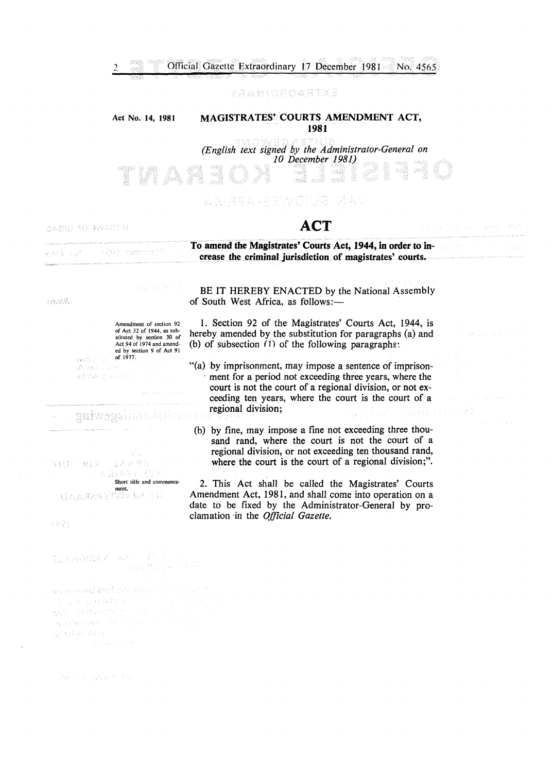### yaamoroafiya

#### Act No. 14, 1981 MAGISTRATES' COURTS AMENDMENT ACT, 1981

*(English text signed by the Administrator-General on 10 December 1981)*  xed -sett

## AN FRYA RENCESS DE NAV

UTGAWE OF GESAG

 $-3.853$  $\frac{1}{M_{\rm Pl}^2}$  $\kappa\lambda$ 

karbur (38) medensanî

# ACT

## To amend the Magistrates' Courts Act, 1944, in order to increase the criminal jurisdiction of magistrates' courts.

aspang

|       | Amendment of section 92<br>of Act 32 of 1944, as sub-<br>stituted by section 30 of<br>Act 94 of 1974 and amend-<br>ed by section 9 of Act 91 |  |
|-------|----------------------------------------------------------------------------------------------------------------------------------------------|--|
| 最終の時に | of 1977.                                                                                                                                     |  |
|       | 細長 自発化 コンティング                                                                                                                                |  |
|       | 할 수 있어 있습니다. 이 시간이 있어?                                                                                                                       |  |

医动脉 解除的

BE IT HEREBY ENACTED by the National Assembly of South West Africa, as follows:-

1. Section 92 of the Magistrates' Courts Act, 1944, is hereby amended by the substitution for paragraphs (a) and (b) of subsection (1) of the following paragraphs:

- "(a) by imprisonment, may impose a sentence of imprisonment for a period not exceeding three years, where the court is not the court of a regional division, or not exceeding ten years, where the court is the court of a regional division; PAGNIS POLITICAL
- (b) by fine, may impose a fine not exceeding three thousand rand, where the court is not the court of a regional division, or not exceeding ten thousand rand, where the court is the court of a regional division;".

2. This Act shall be called the Magistrates' Courts Amendment Act, 1981, and shall come into operation on a date to be fixed by the Administrator-General by proclamation ·in the *Official Gazette.* 

gaiwegalunsuki in ngiliy 且人家聚团 往城 一 -93 V

2) 営営金

- 21

Short title and commencement.<br>DE MENERANA D

1891

A MERAK AZ ETTER (394) 食品行為 花美谷

go beamfilioù etu etu est sos e 第二章 计网络不定的 nov gereisen zu der moster-Avenue  $\sim 25\pm 0.6\,\mu_{\rm eff}$  (for  $\sim 0.1$ 

学程序 法国家科学协会